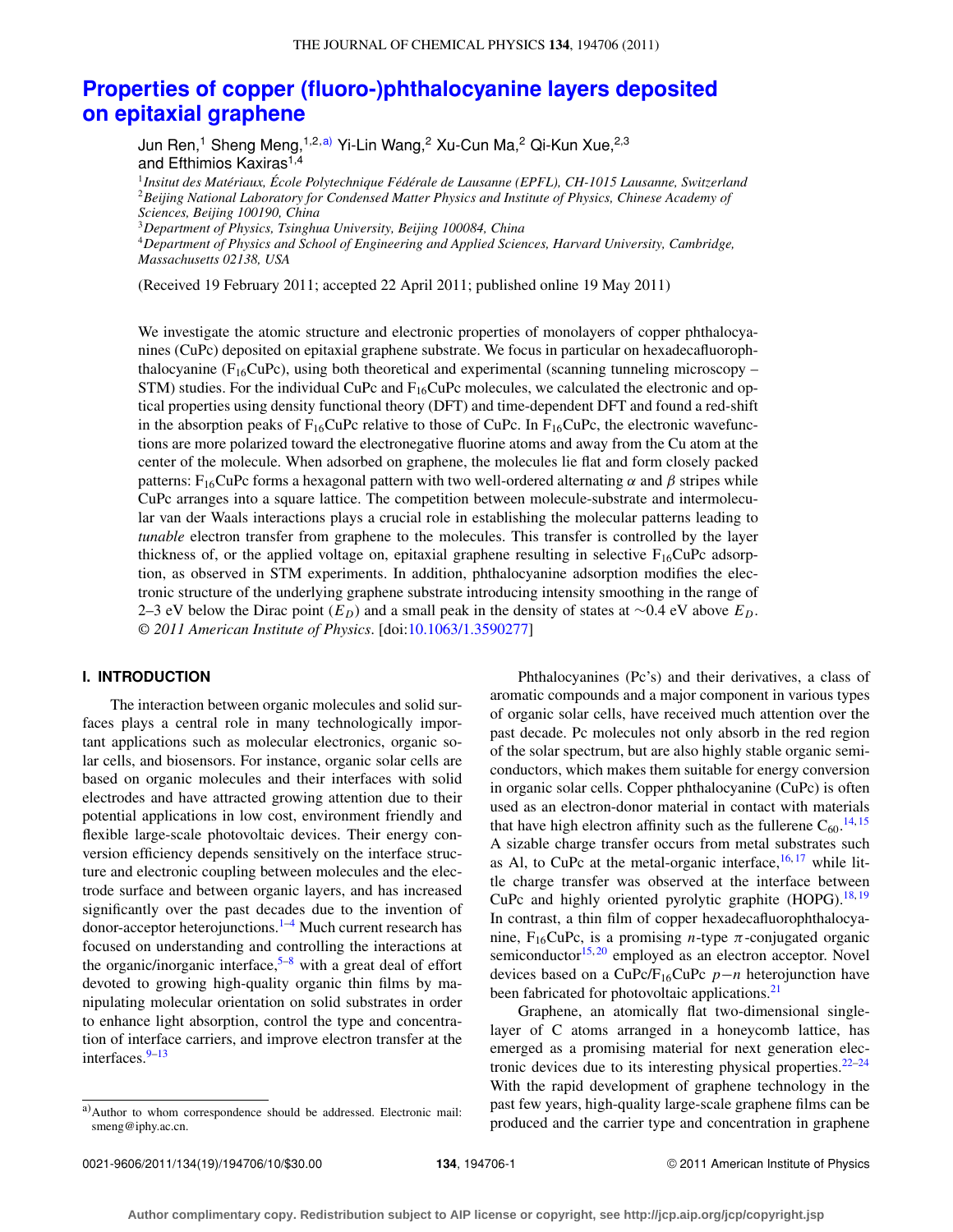# **[Properties of copper \(fluoro-\)phthalocyanine layers deposited](http://dx.doi.org/10.1063/1.3590277) [on epitaxial graphene](http://dx.doi.org/10.1063/1.3590277)**

Jun Ren,<sup>1</sup> Sheng Meng,<sup>1,2[,a\)](#page-0-0)</sup> Yi-Lin Wang,<sup>2</sup> Xu-Cun Ma,<sup>2</sup> Qi-Kun Xue,<sup>2,3</sup> and Efthimios Kaxiras<sup>1,4</sup>

<sup>1</sup>*Insitut des Matériaux, École Polytechnique Fédérale de Lausanne (EPFL), CH-1015 Lausanne, Switzerland* <sup>2</sup>*Beijing National Laboratory for Condensed Matter Physics and Institute of Physics, Chinese Academy of Sciences, Beijing 100190, China*

<sup>3</sup>*Department of Physics, Tsinghua University, Beijing 100084, China*

<sup>4</sup>*Department of Physics and School of Engineering and Applied Sciences, Harvard University, Cambridge, Massachusetts 02138, USA*

(Received 19 February 2011; accepted 22 April 2011; published online 19 May 2011)

We investigate the atomic structure and electronic properties of monolayers of copper phthalocyanines (CuPc) deposited on epitaxial graphene substrate. We focus in particular on hexadecafluorophthalocyanine ( $F_{16}$ CuPc), using both theoretical and experimental (scanning tunneling microscopy – STM) studies. For the individual CuPc and  $F_{16}$ CuPc molecules, we calculated the electronic and optical properties using density functional theory (DFT) and time-dependent DFT and found a red-shift in the absorption peaks of  $F_{16}$ CuPc relative to those of CuPc. In  $F_{16}$ CuPc, the electronic wavefunctions are more polarized toward the electronegative fluorine atoms and away from the Cu atom at the center of the molecule. When adsorbed on graphene, the molecules lie flat and form closely packed patterns: F<sub>16</sub>CuPc forms a hexagonal pattern with two well-ordered alternating α and β stripes while CuPc arranges into a square lattice. The competition between molecule-substrate and intermolecular van der Waals interactions plays a crucial role in establishing the molecular patterns leading to *tunable* electron transfer from graphene to the molecules. This transfer is controlled by the layer thickness of, or the applied voltage on, epitaxial graphene resulting in selective  $F_{16}CuPc$  adsorption, as observed in STM experiments. In addition, phthalocyanine adsorption modifies the electronic structure of the underlying graphene substrate introducing intensity smoothing in the range of 2–3 eV below the Dirac point (*ED*) and a small peak in the density of states at ∼0.4 eV above *ED*. *© 2011 American Institute of Physics*. [doi[:10.1063/1.3590277\]](http://dx.doi.org/10.1063/1.3590277)

# **I. INTRODUCTION**

The interaction between organic molecules and solid surfaces plays a central role in many technologically important applications such as molecular electronics, organic solar cells, and biosensors. For instance, organic solar cells are based on organic molecules and their interfaces with solid electrodes and have attracted growing attention due to their potential applications in low cost, environment friendly and flexible large-scale photovoltaic devices. Their energy conversion efficiency depends sensitively on the interface structure and electronic coupling between molecules and the electrode surface and between organic layers, and has increased significantly over the past decades due to the invention of donor-acceptor heterojunctions.<sup>1–[4](#page-9-1)</sup> Much current research has focused on understanding and controlling the interactions at the organic/inorganic interface,  $5-8$  $5-8$  with a great deal of effort devoted to growing high-quality organic thin films by manipulating molecular orientation on solid substrates in order to enhance light absorption, control the type and concentration of interface carriers, and improve electron transfer at the interfaces.<sup>[9–](#page-9-4)[13](#page-9-5)</sup>

Phthalocyanines (Pc's) and their derivatives, a class of aromatic compounds and a major component in various types of organic solar cells, have received much attention over the past decade. Pc molecules not only absorb in the red region of the solar spectrum, but are also highly stable organic semiconductors, which makes them suitable for energy conversion in organic solar cells. Copper phthalocyanine (CuPc) is often used as an electron-donor material in contact with materials that have high electron affinity such as the fullerene  $C_{60}$ .<sup>[14,](#page-9-6) [15](#page-9-7)</sup> A sizable charge transfer occurs from metal substrates such as Al, to CuPc at the metal-organic interface,  $16, 17$  $16, 17$  $16, 17$  while little charge transfer was observed at the interface between CuPc and highly oriented pyrolytic graphite (HOPG).<sup>18,[19](#page-9-11)</sup> In contrast, a thin film of copper hexadecafluorophthalocyanine,  $F_{16}CuPc$ , is a promising *n*-type  $\pi$ -conjugated organic semiconductor $15,20$  $15,20$  employed as an electron acceptor. Novel devices based on a CuPc/F16CuPc *p*−*n* heterojunction have been fabricated for photovoltaic applications.<sup>[21](#page-9-13)</sup>

Graphene, an atomically flat two-dimensional singlelayer of C atoms arranged in a honeycomb lattice, has emerged as a promising material for next generation electronic devices due to its interesting physical properties. $22-24$  $22-24$ With the rapid development of graphene technology in the past few years, high-quality large-scale graphene films can be produced and the carrier type and concentration in graphene

<span id="page-0-0"></span>a)Author to whom correspondence should be addressed. Electronic mail: [smeng@iphy.ac.cn.](mailto: smeng@iphy.ac.cn)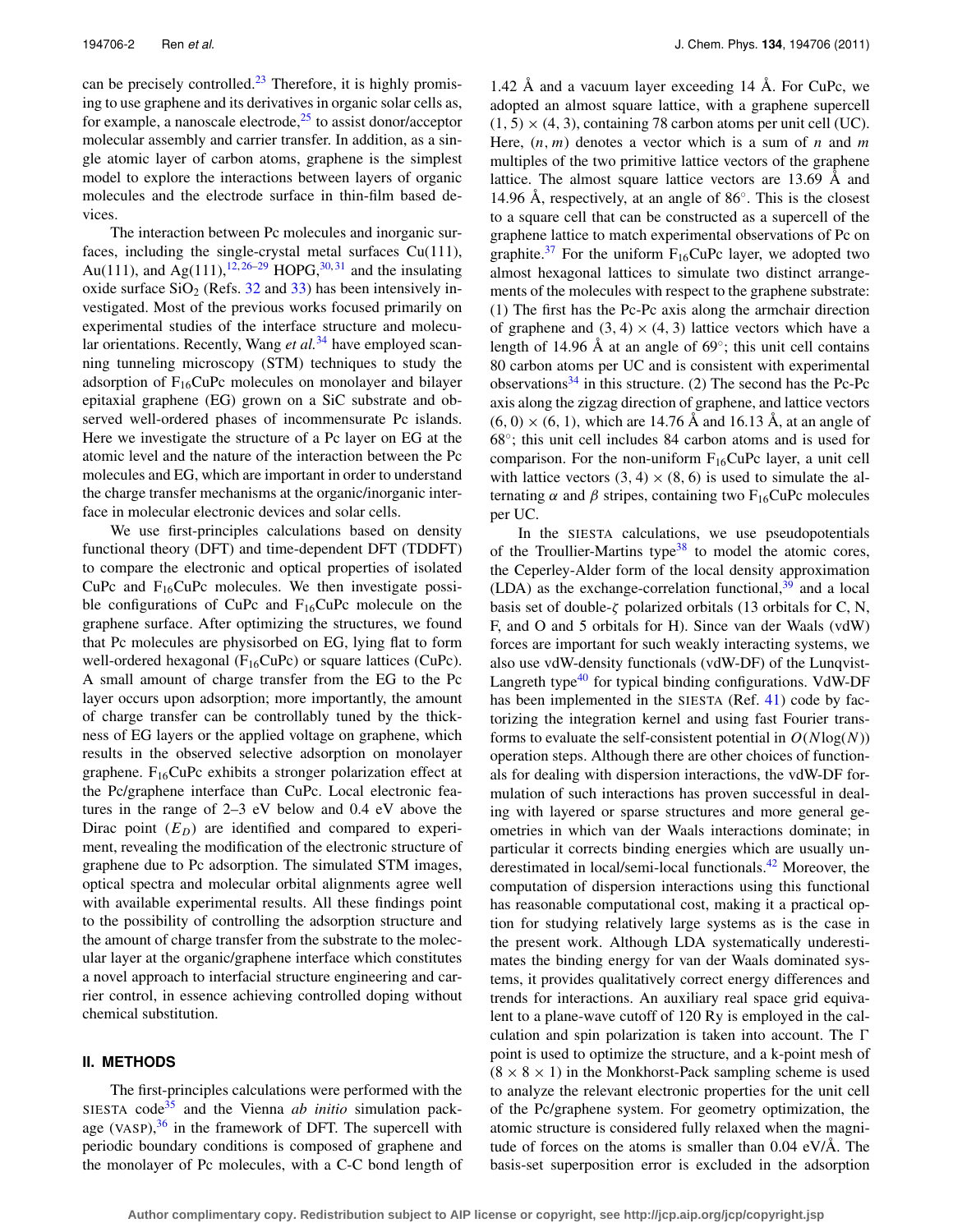can be precisely controlled. $23$  Therefore, it is highly promising to use graphene and its derivatives in organic solar cells as, for example, a nanoscale electrode, $25$  to assist donor/acceptor molecular assembly and carrier transfer. In addition, as a single atomic layer of carbon atoms, graphene is the simplest model to explore the interactions between layers of organic molecules and the electrode surface in thin-film based devices.

The interaction between Pc molecules and inorganic surfaces, including the single-crystal metal surfaces Cu(111), Au(111), and Ag(111),  $12,26-29$  $12,26-29$  $12,26-29$  HOPG,  $30,31$  $30,31$  and the insulating oxide surface  $SiO<sub>2</sub>$  (Refs. [32](#page-9-23) and [33\)](#page-9-24) has been intensively investigated. Most of the previous works focused primarily on experimental studies of the interface structure and molecu-lar orientations. Recently, Wang et al.<sup>[34](#page-9-25)</sup> have employed scanning tunneling microscopy (STM) techniques to study the adsorption of  $F_{16}CuPc$  molecules on monolayer and bilayer epitaxial graphene (EG) grown on a SiC substrate and observed well-ordered phases of incommensurate Pc islands. Here we investigate the structure of a Pc layer on EG at the atomic level and the nature of the interaction between the Pc molecules and EG, which are important in order to understand the charge transfer mechanisms at the organic/inorganic interface in molecular electronic devices and solar cells.

We use first-principles calculations based on density functional theory (DFT) and time-dependent DFT (TDDFT) to compare the electronic and optical properties of isolated CuPc and  $F_{16}$ CuPc molecules. We then investigate possible configurations of CuPc and  $F_{16}$ CuPc molecule on the graphene surface. After optimizing the structures, we found that Pc molecules are physisorbed on EG, lying flat to form well-ordered hexagonal ( $F_{16}CuPc$ ) or square lattices (CuPc). A small amount of charge transfer from the EG to the Pc layer occurs upon adsorption; more importantly, the amount of charge transfer can be controllably tuned by the thickness of EG layers or the applied voltage on graphene, which results in the observed selective adsorption on monolayer graphene.  $F_{16}CuPc$  exhibits a stronger polarization effect at the Pc/graphene interface than CuPc. Local electronic features in the range of 2–3 eV below and 0.4 eV above the Dirac point  $(E_D)$  are identified and compared to experiment, revealing the modification of the electronic structure of graphene due to Pc adsorption. The simulated STM images, optical spectra and molecular orbital alignments agree well with available experimental results. All these findings point to the possibility of controlling the adsorption structure and the amount of charge transfer from the substrate to the molecular layer at the organic/graphene interface which constitutes a novel approach to interfacial structure engineering and carrier control, in essence achieving controlled doping without chemical substitution.

## **II. METHODS**

The first-principles calculations were performed with the SIESTA code $35$  and the Vienna *ab initio* simulation package (VASP), $36$  in the framework of DFT. The supercell with periodic boundary conditions is composed of graphene and the monolayer of Pc molecules, with a C-C bond length of 1.42 Å and a vacuum layer exceeding 14 Å. For CuPc, we adopted an almost square lattice, with a graphene supercell  $(1, 5) \times (4, 3)$ , containing 78 carbon atoms per unit cell (UC). Here, (*n*, *m*) denotes a vector which is a sum of *n* and *m* multiples of the two primitive lattice vectors of the graphene lattice. The almost square lattice vectors are 13.69 Å and 14.96 Å, respectively, at an angle of 86◦. This is the closest to a square cell that can be constructed as a supercell of the graphene lattice to match experimental observations of Pc on graphite.<sup>[37](#page-9-28)</sup> For the uniform  $F_{16}CuPc$  layer, we adopted two almost hexagonal lattices to simulate two distinct arrangements of the molecules with respect to the graphene substrate: (1) The first has the Pc-Pc axis along the armchair direction of graphene and  $(3, 4) \times (4, 3)$  lattice vectors which have a length of 14.96 Å at an angle of 69◦; this unit cell contains 80 carbon atoms per UC and is consistent with experimental observations $34$  in this structure. (2) The second has the Pc-Pc axis along the zigzag direction of graphene, and lattice vectors  $(6, 0) \times (6, 1)$ , which are 14.76 Å and 16.13 Å, at an angle of 68◦; this unit cell includes 84 carbon atoms and is used for comparison. For the non-uniform  $F_{16}CuPc$  layer, a unit cell with lattice vectors  $(3, 4) \times (8, 6)$  is used to simulate the alternating  $\alpha$  and  $\beta$  stripes, containing two F<sub>16</sub>CuPc molecules per UC.

In the SIESTA calculations, we use pseudopotentials of the Troullier-Martins type $38$  to model the atomic cores, the Ceperley-Alder form of the local density approximation (LDA) as the exchange-correlation functional, $39$  and a local basis set of double- $\zeta$  polarized orbitals (13 orbitals for C, N, F, and O and 5 orbitals for H). Since van der Waals (vdW) forces are important for such weakly interacting systems, we also use vdW-density functionals (vdW-DF) of the Lunqvist-Langreth type $40$  for typical binding configurations. VdW-DF has been implemented in the SIESTA (Ref. [41\)](#page-9-32) code by factorizing the integration kernel and using fast Fourier transforms to evaluate the self-consistent potential in  $O(N \log(N))$ operation steps. Although there are other choices of functionals for dealing with dispersion interactions, the vdW-DF formulation of such interactions has proven successful in dealing with layered or sparse structures and more general geometries in which van der Waals interactions dominate; in particular it corrects binding energies which are usually un-derestimated in local/semi-local functionals.<sup>[42](#page-9-33)</sup> Moreover, the computation of dispersion interactions using this functional has reasonable computational cost, making it a practical option for studying relatively large systems as is the case in the present work. Although LDA systematically underestimates the binding energy for van der Waals dominated systems, it provides qualitatively correct energy differences and trends for interactions. An auxiliary real space grid equivalent to a plane-wave cutoff of 120 Ry is employed in the calculation and spin polarization is taken into account. The  $\Gamma$ point is used to optimize the structure, and a k-point mesh of  $(8 \times 8 \times 1)$  in the Monkhorst-Pack sampling scheme is used to analyze the relevant electronic properties for the unit cell of the Pc/graphene system. For geometry optimization, the atomic structure is considered fully relaxed when the magnitude of forces on the atoms is smaller than 0.04 eV/Å. The basis-set superposition error is excluded in the adsorption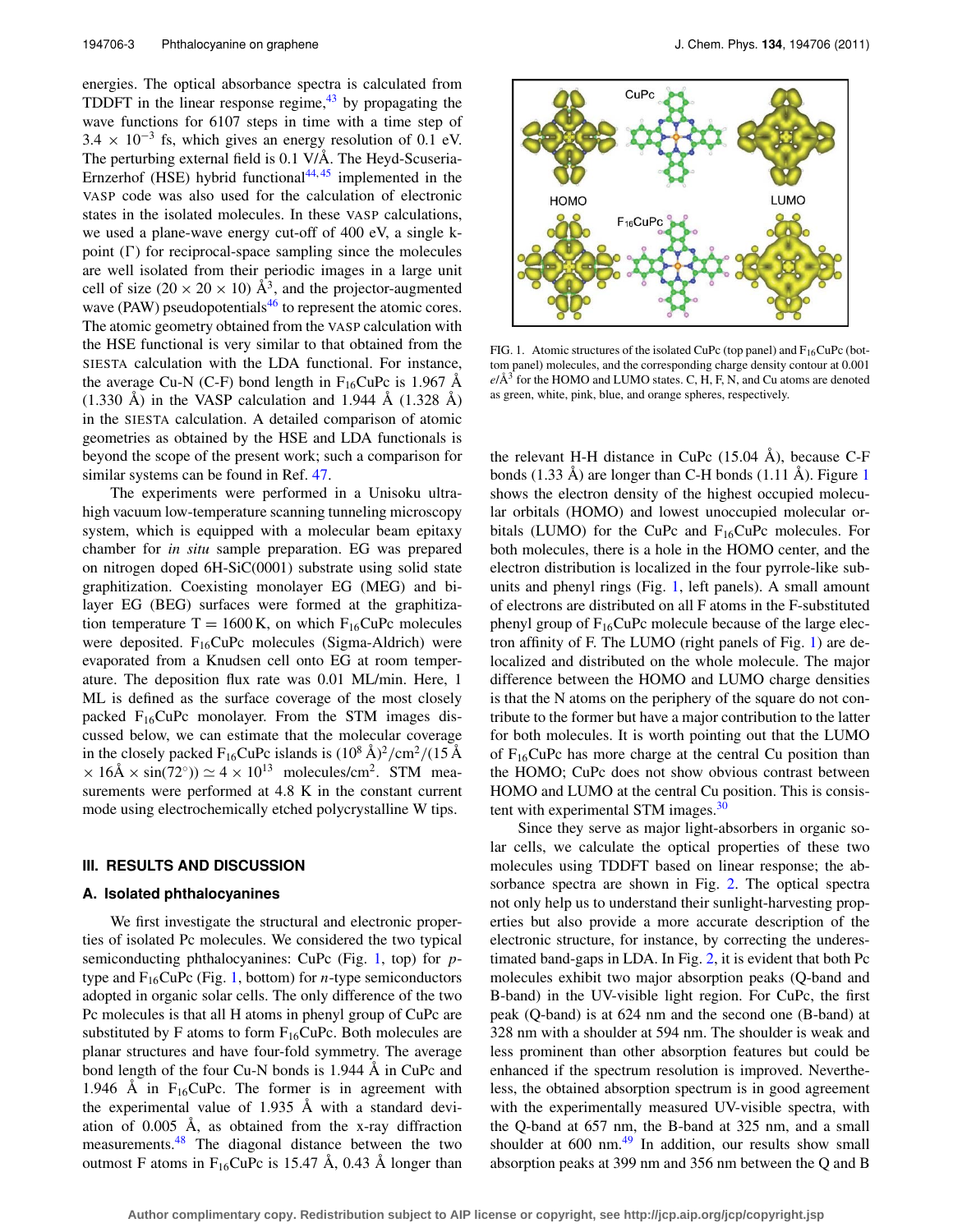energies. The optical absorbance spectra is calculated from TDDFT in the linear response regime, $43$  by propagating the wave functions for 6107 steps in time with a time step of  $3.4 \times 10^{-3}$  fs, which gives an energy resolution of 0.1 eV. The perturbing external field is 0.1 V/Å. The Heyd-Scuseria-Ernzerhof (HSE) hybrid functional $44,45$  $44,45$  implemented in the VASP code was also used for the calculation of electronic states in the isolated molecules. In these VASP calculations, we used a plane-wave energy cut-off of 400 eV, a single kpoint  $(\Gamma)$  for reciprocal-space sampling since the molecules are well isolated from their periodic images in a large unit cell of size (20  $\times$  20  $\times$  10) Å<sup>3</sup>, and the projector-augmented wave (PAW) pseudopotentials<sup>46</sup> to represent the atomic cores. The atomic geometry obtained from the VASP calculation with the HSE functional is very similar to that obtained from the SIESTA calculation with the LDA functional. For instance, the average Cu-N (C-F) bond length in  $F_{16}$ CuPc is 1.967 Å  $(1.330 \text{ Å})$  in the VASP calculation and 1.944 Å  $(1.328 \text{ Å})$ in the SIESTA calculation. A detailed comparison of atomic geometries as obtained by the HSE and LDA functionals is beyond the scope of the present work; such a comparison for similar systems can be found in Ref. [47.](#page-9-38)

The experiments were performed in a Unisoku ultrahigh vacuum low-temperature scanning tunneling microscopy system, which is equipped with a molecular beam epitaxy chamber for *in situ* sample preparation. EG was prepared on nitrogen doped 6H-SiC(0001) substrate using solid state graphitization. Coexisting monolayer EG (MEG) and bilayer EG (BEG) surfaces were formed at the graphitization temperature  $T = 1600$  K, on which  $F_{16}$ CuPc molecules were deposited.  $F_{16}CuPc$  molecules (Sigma-Aldrich) were evaporated from a Knudsen cell onto EG at room temperature. The deposition flux rate was 0.01 ML/min. Here, 1 ML is defined as the surface coverage of the most closely packed  $F_{16}CuPc$  monolayer. From the STM images discussed below, we can estimate that the molecular coverage in the closely packed  $F_{16}$ CuPc islands is  $(10^8 \text{ Å})^2/\text{cm}^2/(15 \text{ Å})$  $\times$  16Å  $\times$  sin(72°))  $\simeq$  4  $\times$  10<sup>13</sup> molecules/cm<sup>2</sup>. STM measurements were performed at 4.8 K in the constant current mode using electrochemically etched polycrystalline W tips.

## <span id="page-2-1"></span>**III. RESULTS AND DISCUSSION**

#### **A. Isolated phthalocyanines**

We first investigate the structural and electronic properties of isolated Pc molecules. We considered the two typical semiconducting phthalocyanines: CuPc (Fig. [1,](#page-2-0) top) for *p*type and  $F_{16}CuPc$  (Fig. [1,](#page-2-0) bottom) for *n*-type semiconductors adopted in organic solar cells. The only difference of the two Pc molecules is that all H atoms in phenyl group of CuPc are substituted by F atoms to form  $F_{16}CuPc$ . Both molecules are planar structures and have four-fold symmetry. The average bond length of the four Cu-N bonds is 1.944 Å in CuPc and 1.946 Å in  $F_{16}$ CuPc. The former is in agreement with the experimental value of 1.935 Å with a standard deviation of 0.005 Å, as obtained from the x-ray diffraction measurements.<sup>48</sup> The diagonal distance between the two outmost F atoms in  $F_{16}$ CuPc is 15.47 Å, 0.43 Å longer than

<span id="page-2-0"></span>

FIG. 1. Atomic structures of the isolated CuPc (top panel) and  $F_{16}CuPc$  (bottom panel) molecules, and the corresponding charge density contour at 0.001  $e/\text{\AA}^3$  for the HOMO and LUMO states. C, H, F, N, and Cu atoms are denoted as green, white, pink, blue, and orange spheres, respectively.

the relevant H-H distance in CuPc (15.04 Å), because C-F bonds (1.33 Å) are longer than C-H bonds (1.11 Å). Figure [1](#page-2-0) shows the electron density of the highest occupied molecular orbitals (HOMO) and lowest unoccupied molecular orbitals (LUMO) for the CuPc and  $F_{16}$ CuPc molecules. For both molecules, there is a hole in the HOMO center, and the electron distribution is localized in the four pyrrole-like subunits and phenyl rings (Fig. [1,](#page-2-0) left panels). A small amount of electrons are distributed on all F atoms in the F-substituted phenyl group of  $F_{16}CuPc$  molecule because of the large electron affinity of F. The LUMO (right panels of Fig. [1\)](#page-2-0) are delocalized and distributed on the whole molecule. The major difference between the HOMO and LUMO charge densities is that the N atoms on the periphery of the square do not contribute to the former but have a major contribution to the latter for both molecules. It is worth pointing out that the LUMO of  $F_{16}$ CuPc has more charge at the central Cu position than the HOMO; CuPc does not show obvious contrast between HOMO and LUMO at the central Cu position. This is consis-tent with experimental STM images.<sup>[30](#page-9-21)</sup>

Since they serve as major light-absorbers in organic solar cells, we calculate the optical properties of these two molecules using TDDFT based on linear response; the absorbance spectra are shown in Fig. [2.](#page-3-0) The optical spectra not only help us to understand their sunlight-harvesting properties but also provide a more accurate description of the electronic structure, for instance, by correcting the underestimated band-gaps in LDA. In Fig. [2,](#page-3-0) it is evident that both Pc molecules exhibit two major absorption peaks (Q-band and B-band) in the UV-visible light region. For CuPc, the first peak (Q-band) is at 624 nm and the second one (B-band) at 328 nm with a shoulder at 594 nm. The shoulder is weak and less prominent than other absorption features but could be enhanced if the spectrum resolution is improved. Nevertheless, the obtained absorption spectrum is in good agreement with the experimentally measured UV-visible spectra, with the Q-band at 657 nm, the B-band at 325 nm, and a small shoulder at  $600 \text{ nm}^{49}$  $600 \text{ nm}^{49}$  $600 \text{ nm}^{49}$  In addition, our results show small absorption peaks at 399 nm and 356 nm between the Q and B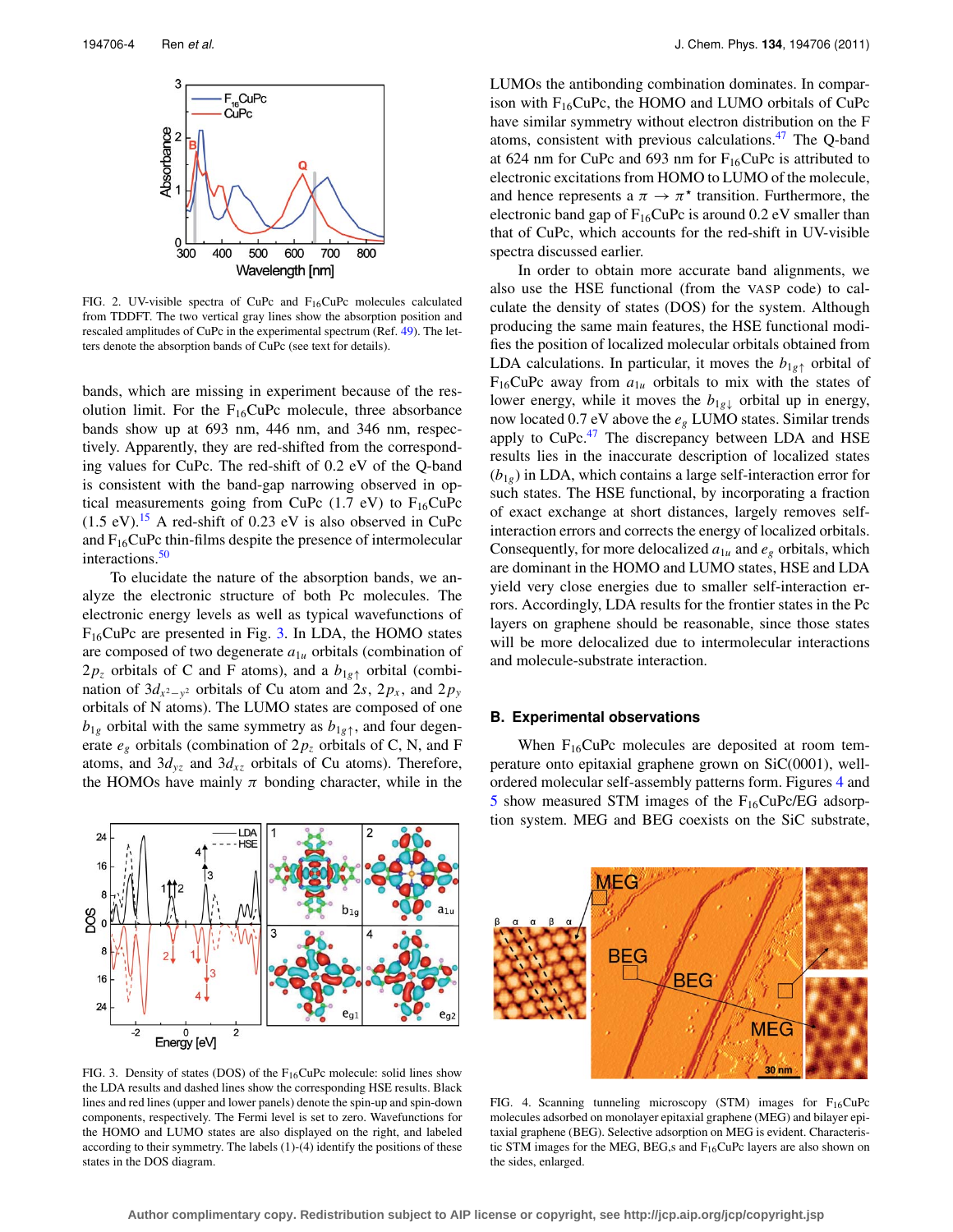<span id="page-3-0"></span>

FIG. 2. UV-visible spectra of CuPc and F16CuPc molecules calculated from TDDFT. The two vertical gray lines show the absorption position and rescaled amplitudes of CuPc in the experimental spectrum (Ref. [49\)](#page-9-40). The letters denote the absorption bands of CuPc (see text for details).

bands, which are missing in experiment because of the resolution limit. For the  $F_{16}CuPc$  molecule, three absorbance bands show up at 693 nm, 446 nm, and 346 nm, respectively. Apparently, they are red-shifted from the corresponding values for CuPc. The red-shift of 0.2 eV of the Q-band is consistent with the band-gap narrowing observed in optical measurements going from CuPc  $(1.7 \text{ eV})$  to  $F_{16}$ CuPc  $(1.5 \text{ eV})$ .<sup>15</sup> A red-shift of 0.23 eV is also observed in CuPc and  $F_{16}$ CuPc thin-films despite the presence of intermolecular interactions.<sup>[50](#page-9-41)</sup>

To elucidate the nature of the absorption bands, we analyze the electronic structure of both Pc molecules. The electronic energy levels as well as typical wavefunctions of F16CuPc are presented in Fig. [3.](#page-3-1) In LDA, the HOMO states are composed of two degenerate *a*1*<sup>u</sup>* orbitals (combination of  $2p_z$  orbitals of C and F atoms), and a  $b_{1g\uparrow}$  orbital (combination of  $3d_{x^2-y^2}$  orbitals of Cu atom and 2*s*, 2*p<sub>x</sub>*, and 2*p<sub>y</sub>* orbitals of N atoms). The LUMO states are composed of one  $b_{1g}$  orbital with the same symmetry as  $b_{1g}$ <sup> $\uparrow$ </sup>, and four degenerate  $e_g$  orbitals (combination of  $2p_z$  orbitals of C, N, and F atoms, and  $3d_{yz}$  and  $3d_{xz}$  orbitals of Cu atoms). Therefore, the HOMOs have mainly  $\pi$  bonding character, while in the

<span id="page-3-1"></span>

LUMOs the antibonding combination dominates. In comparison with  $F_{16}CuPc$ , the HOMO and LUMO orbitals of CuPc have similar symmetry without electron distribution on the F atoms, consistent with previous calculations[.47](#page-9-38) The Q-band at 624 nm for CuPc and 693 nm for  $F_{16}$ CuPc is attributed to electronic excitations from HOMO to LUMO of the molecule, and hence represents a  $\pi \to \pi^*$  transition. Furthermore, the electronic band gap of  $F_{16}CuPc$  is around 0.2 eV smaller than that of CuPc, which accounts for the red-shift in UV-visible spectra discussed earlier.

In order to obtain more accurate band alignments, we also use the HSE functional (from the VASP code) to calculate the density of states (DOS) for the system. Although producing the same main features, the HSE functional modifies the position of localized molecular orbitals obtained from LDA calculations. In particular, it moves the  $b_{1g\uparrow}$  orbital of  $F_{16}$ CuPc away from  $a_{1u}$  orbitals to mix with the states of lower energy, while it moves the  $b_{1g\downarrow}$  orbital up in energy, now located 0.7 eV above the *eg* LUMO states. Similar trends apply to  $CuPc<sup>47</sup>$  $CuPc<sup>47</sup>$  $CuPc<sup>47</sup>$  The discrepancy between LDA and HSE results lies in the inaccurate description of localized states  $(b_{1g})$  in LDA, which contains a large self-interaction error for such states. The HSE functional, by incorporating a fraction of exact exchange at short distances, largely removes selfinteraction errors and corrects the energy of localized orbitals. Consequently, for more delocalized  $a_{1u}$  and  $e_g$  orbitals, which are dominant in the HOMO and LUMO states, HSE and LDA yield very close energies due to smaller self-interaction errors. Accordingly, LDA results for the frontier states in the Pc layers on graphene should be reasonable, since those states will be more delocalized due to intermolecular interactions and molecule-substrate interaction.

## **B. Experimental observations**

When  $F_{16}CuPc$  molecules are deposited at room temperature onto epitaxial graphene grown on SiC(0001), wellordered molecular self-assembly patterns form. Figures [4](#page-3-2) and [5](#page-4-0) show measured STM images of the  $F_{16}CuPc/EG$  adsorption system. MEG and BEG coexists on the SiC substrate,

<span id="page-3-2"></span>

FIG. 3. Density of states (DOS) of the  $F_{16}$ CuPc molecule: solid lines show the LDA results and dashed lines show the corresponding HSE results. Black lines and red lines (upper and lower panels) denote the spin-up and spin-down components, respectively. The Fermi level is set to zero. Wavefunctions for the HOMO and LUMO states are also displayed on the right, and labeled according to their symmetry. The labels (1)-(4) identify the positions of these states in the DOS diagram.

FIG. 4. Scanning tunneling microscopy (STM) images for  $F_{16}CuPc$ molecules adsorbed on monolayer epitaxial graphene (MEG) and bilayer epitaxial graphene (BEG). Selective adsorption on MEG is evident. Characteristic STM images for the MEG, BEG,s and  $F_{16}$ CuPc layers are also shown on the sides, enlarged.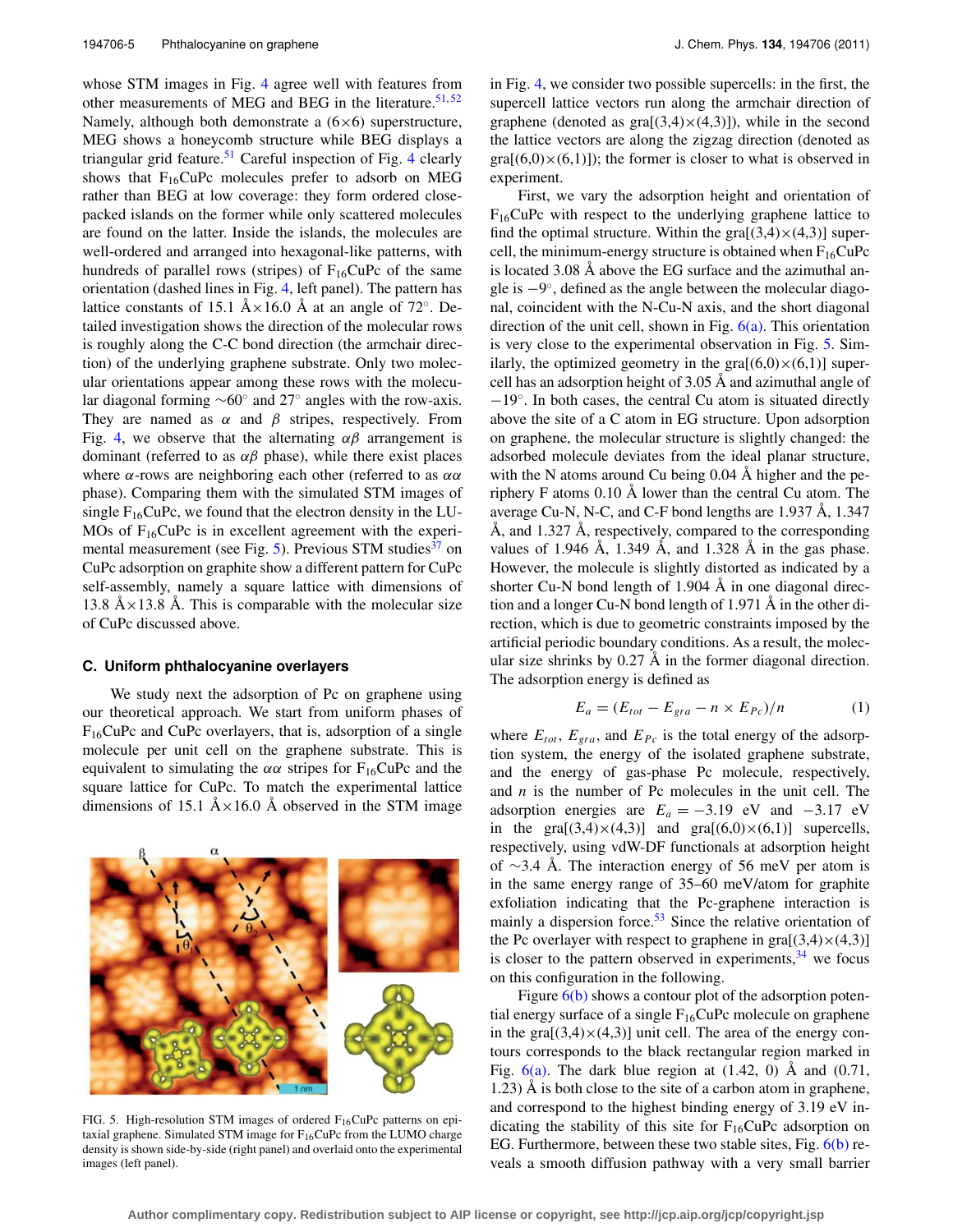whose STM images in Fig. [4](#page-3-2) agree well with features from other measurements of MEG and BEG in the literature.  $51, 52$  $51, 52$  $51, 52$ Namely, although both demonstrate a  $(6\times6)$  superstructure, MEG shows a honeycomb structure while BEG displays a triangular grid feature.<sup>[51](#page-9-42)</sup> Careful inspection of Fig. [4](#page-3-2) clearly shows that  $F_{16}CuPc$  molecules prefer to adsorb on MEG rather than BEG at low coverage: they form ordered closepacked islands on the former while only scattered molecules are found on the latter. Inside the islands, the molecules are well-ordered and arranged into hexagonal-like patterns, with hundreds of parallel rows (stripes) of  $F_{16}CuPc$  of the same orientation (dashed lines in Fig. [4,](#page-3-2) left panel). The pattern has lattice constants of 15.1 Å×16.0 Å at an angle of 72°. Detailed investigation shows the direction of the molecular rows is roughly along the C-C bond direction (the armchair direction) of the underlying graphene substrate. Only two molecular orientations appear among these rows with the molecular diagonal forming ∼60◦ and 27◦ angles with the row-axis. They are named as  $\alpha$  and  $\beta$  stripes, respectively. From Fig. [4,](#page-3-2) we observe that the alternating  $\alpha\beta$  arrangement is dominant (referred to as  $\alpha\beta$  phase), while there exist places where  $\alpha$ -rows are neighboring each other (referred to as  $\alpha\alpha$ ) phase). Comparing them with the simulated STM images of single  $F_{16}CuPc$ , we found that the electron density in the LU-MOs of  $F_{16}$ CuPc is in excellent agreement with the experi-mental measurement (see Fig. [5\)](#page-4-0). Previous STM studies<sup>[37](#page-9-28)</sup> on CuPc adsorption on graphite show a different pattern for CuPc self-assembly, namely a square lattice with dimensions of 13.8 Å $\times$ 13.8 Å. This is comparable with the molecular size of CuPc discussed above.

# **C. Uniform phthalocyanine overlayers**

We study next the adsorption of Pc on graphene using our theoretical approach. We start from uniform phases of  $F_{16}$ CuPc and CuPc overlayers, that is, adsorption of a single molecule per unit cell on the graphene substrate. This is equivalent to simulating the  $\alpha\alpha$  stripes for F<sub>16</sub>CuPc and the square lattice for CuPc. To match the experimental lattice dimensions of 15.1  $A \times 16.0$  Å observed in the STM image

FIG. 5. High-resolution STM images of ordered  $F_{16}$ CuPc patterns on epitaxial graphene. Simulated STM image for  $F_{16}CuPc$  from the LUMO charge density is shown side-by-side (right panel) and overlaid onto the experimental images (left panel).

in Fig. [4,](#page-3-2) we consider two possible supercells: in the first, the supercell lattice vectors run along the armchair direction of graphene (denoted as  $\text{gra}[(3,4)\times(4,3)]$ ), while in the second the lattice vectors are along the zigzag direction (denoted as  $\text{gra}[(6,0)\times(6,1)]$ ; the former is closer to what is observed in experiment.

First, we vary the adsorption height and orientation of  $F_{16}$ CuPc with respect to the underlying graphene lattice to find the optimal structure. Within the  $\text{gra}[(3,4)\times(4,3)]$  supercell, the minimum-energy structure is obtained when  $F_{16}CuPc$ is located 3.08 Å above the EG surface and the azimuthal angle is −9◦, defined as the angle between the molecular diagonal, coincident with the N-Cu-N axis, and the short diagonal direction of the unit cell, shown in Fig. [6\(a\).](#page-5-0) This orientation is very close to the experimental observation in Fig. [5.](#page-4-0) Similarly, the optimized geometry in the  $\text{gra}[(6,0)\times(6,1)]$  supercell has an adsorption height of 3.05 Å and azimuthal angle of −19◦. In both cases, the central Cu atom is situated directly above the site of a C atom in EG structure. Upon adsorption on graphene, the molecular structure is slightly changed: the adsorbed molecule deviates from the ideal planar structure, with the N atoms around Cu being 0.04 Å higher and the periphery F atoms 0.10 Å lower than the central Cu atom. The average Cu-N, N-C, and C-F bond lengths are 1.937 Å, 1.347 Å, and 1.327 Å, respectively, compared to the corresponding values of 1.946 Å, 1.349 Å, and 1.328 Å in the gas phase. However, the molecule is slightly distorted as indicated by a shorter Cu-N bond length of 1.904 Å in one diagonal direction and a longer Cu-N bond length of 1.971 Å in the other direction, which is due to geometric constraints imposed by the artificial periodic boundary conditions. As a result, the molecular size shrinks by 0.27 Å in the former diagonal direction. The adsorption energy is defined as

$$
E_a = (E_{tot} - E_{gra} - n \times E_{Pc})/n \tag{1}
$$

where  $E_{tot}$ ,  $E_{gra}$ , and  $E_{Pc}$  is the total energy of the adsorption system, the energy of the isolated graphene substrate, and the energy of gas-phase Pc molecule, respectively, and *n* is the number of Pc molecules in the unit cell. The adsorption energies are  $E_a = -3.19$  eV and  $-3.17$  eV in the gra $[(3,4)\times(4,3)]$  and gra $[(6,0)\times(6,1)]$  supercells, respectively, using vdW-DF functionals at adsorption height of ∼3.4 Å. The interaction energy of 56 meV per atom is in the same energy range of 35–60 meV/atom for graphite exfoliation indicating that the Pc-graphene interaction is mainly a dispersion force. $53$  Since the relative orientation of the Pc overlayer with respect to graphene in  $\text{gra}[(3,4)\times(4,3)]$ is closer to the pattern observed in experiments,  $34$  we focus on this configuration in the following.

Figure  $6(b)$  shows a contour plot of the adsorption potential energy surface of a single  $F_{16}CuPc$  molecule on graphene in the gra $[(3,4)\times(4,3)]$  unit cell. The area of the energy contours corresponds to the black rectangular region marked in Fig.  $6(a)$ . The dark blue region at  $(1.42, 0)$  Å and  $(0.71, 0.71)$ 1.23) Å is both close to the site of a carbon atom in graphene, and correspond to the highest binding energy of 3.19 eV indicating the stability of this site for  $F_{16}CuPc$  adsorption on EG. Furthermore, between these two stable sites, Fig.  $6(b)$  reveals a smooth diffusion pathway with a very small barrier

<span id="page-4-0"></span>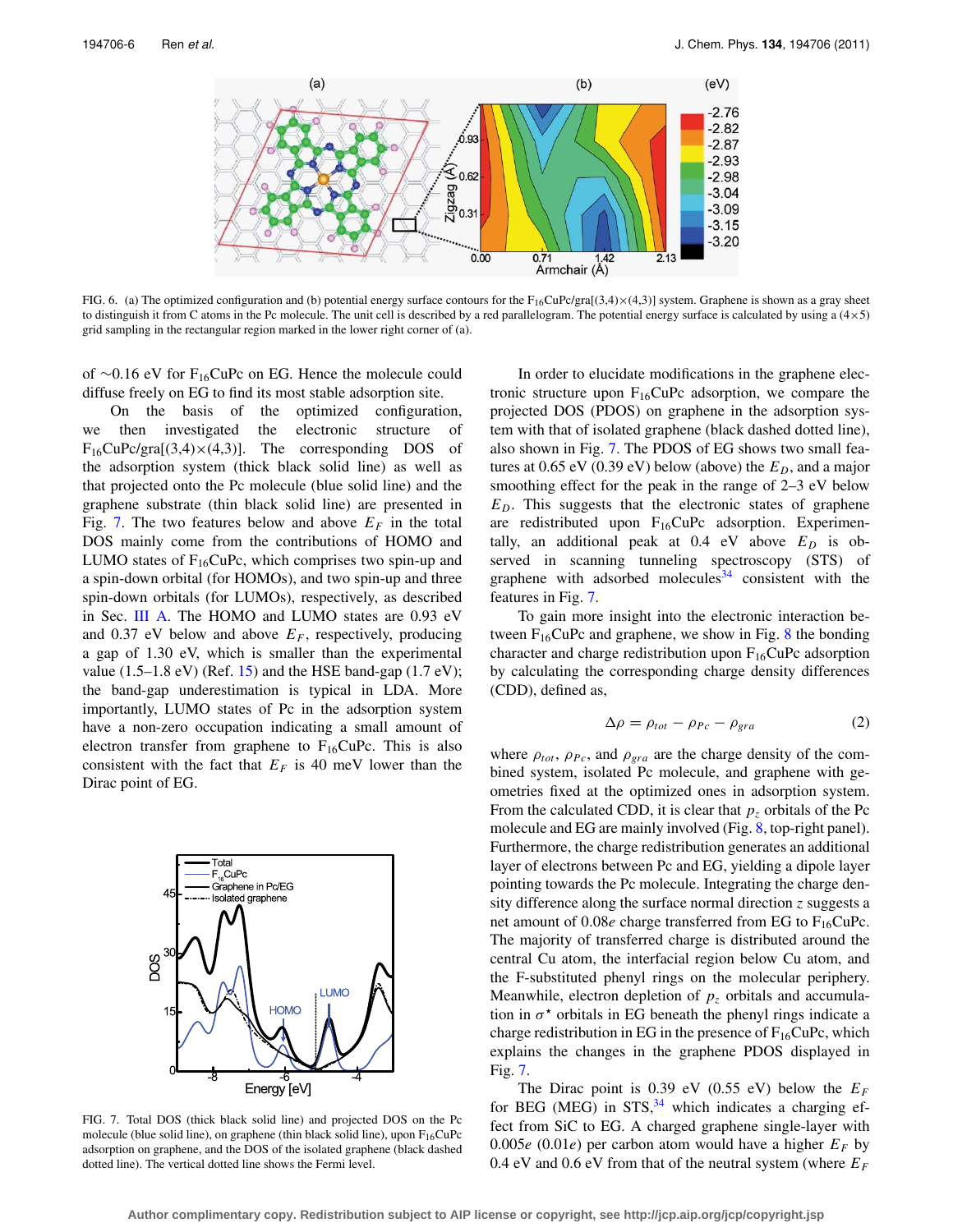<span id="page-5-0"></span>

FIG. 6. (a) The optimized configuration and (b) potential energy surface contours for the  $F_{16}CuPc/gra[(3,4)\times(4,3)]$  system. Graphene is shown as a gray sheet to distinguish it from C atoms in the Pc molecule. The unit cell is described by a red parallelogram. The potential energy surface is calculated by using a (4×5) grid sampling in the rectangular region marked in the lower right corner of (a).

of ∼0.16 eV for F16CuPc on EG. Hence the molecule could diffuse freely on EG to find its most stable adsorption site.

On the basis of the optimized configuration, we then investigated the electronic structure of  $F_{16}$ CuPc/gra[(3,4) $\times$ (4,3)]. The corresponding DOS of the adsorption system (thick black solid line) as well as that projected onto the Pc molecule (blue solid line) and the graphene substrate (thin black solid line) are presented in Fig. [7.](#page-5-1) The two features below and above  $E_F$  in the total DOS mainly come from the contributions of HOMO and LUMO states of  $F_{16}CuPc$ , which comprises two spin-up and a spin-down orbital (for HOMOs), and two spin-up and three spin-down orbitals (for LUMOs), respectively, as described in Sec. [III A.](#page-2-1) The HOMO and LUMO states are 0.93 eV and 0.37 eV below and above  $E_F$ , respectively, producing a gap of 1.30 eV, which is smaller than the experimental value  $(1.5-1.8 \text{ eV})$  (Ref. [15\)](#page-9-7) and the HSE band-gap  $(1.7 \text{ eV})$ ; the band-gap underestimation is typical in LDA. More importantly, LUMO states of Pc in the adsorption system have a non-zero occupation indicating a small amount of electron transfer from graphene to  $F_{16}CuPc$ . This is also consistent with the fact that  $E_F$  is 40 meV lower than the Dirac point of EG.

<span id="page-5-1"></span>

FIG. 7. Total DOS (thick black solid line) and projected DOS on the Pc molecule (blue solid line), on graphene (thin black solid line), upon  $F_{16}CuPc$ adsorption on graphene, and the DOS of the isolated graphene (black dashed dotted line). The vertical dotted line shows the Fermi level.

In order to elucidate modifications in the graphene electronic structure upon  $F_{16}CuPc$  adsorption, we compare the projected DOS (PDOS) on graphene in the adsorption system with that of isolated graphene (black dashed dotted line), also shown in Fig. [7.](#page-5-1) The PDOS of EG shows two small features at  $0.65$  eV  $(0.39$  eV) below (above) the  $E_D$ , and a major smoothing effect for the peak in the range of 2–3 eV below *ED*. This suggests that the electronic states of graphene are redistributed upon  $F_{16}CuPc$  adsorption. Experimentally, an additional peak at  $0.4$  eV above  $E_D$  is observed in scanning tunneling spectroscopy (STS) of graphene with adsorbed molecules  $34$  consistent with the features in Fig. [7.](#page-5-1)

To gain more insight into the electronic interaction between  $F_{16}CuPc$  and graphene, we show in Fig. [8](#page-6-0) the bonding character and charge redistribution upon  $F_{16}$ CuPc adsorption by calculating the corresponding charge density differences (CDD), defined as,

$$
\Delta \rho = \rho_{tot} - \rho_{Pc} - \rho_{gra} \tag{2}
$$

where  $\rho_{tot}$ ,  $\rho_{Pc}$ , and  $\rho_{gra}$  are the charge density of the combined system, isolated Pc molecule, and graphene with geometries fixed at the optimized ones in adsorption system. From the calculated CDD, it is clear that  $p<sub>z</sub>$  orbitals of the Pc molecule and EG are mainly involved (Fig. [8,](#page-6-0) top-right panel). Furthermore, the charge redistribution generates an additional layer of electrons between Pc and EG, yielding a dipole layer pointing towards the Pc molecule. Integrating the charge density difference along the surface normal direction *z* suggests a net amount of  $0.08e$  charge transferred from EG to  $F_{16}CuPc$ . The majority of transferred charge is distributed around the central Cu atom, the interfacial region below Cu atom, and the F-substituted phenyl rings on the molecular periphery. Meanwhile, electron depletion of  $p<sub>z</sub>$  orbitals and accumulation in  $\sigma^*$  orbitals in EG beneath the phenyl rings indicate a charge redistribution in EG in the presence of  $F_{16}CuPc$ , which explains the changes in the graphene PDOS displayed in Fig. [7.](#page-5-1)

The Dirac point is 0.39 eV (0.55 eV) below the  $E_F$ for BEG (MEG) in  $STS$ , <sup>[34](#page-9-25)</sup> which indicates a charging effect from SiC to EG. A charged graphene single-layer with 0.005 $e$  (0.01 $e$ ) per carbon atom would have a higher  $E_F$  by 0.4 eV and 0.6 eV from that of the neutral system (where *EF*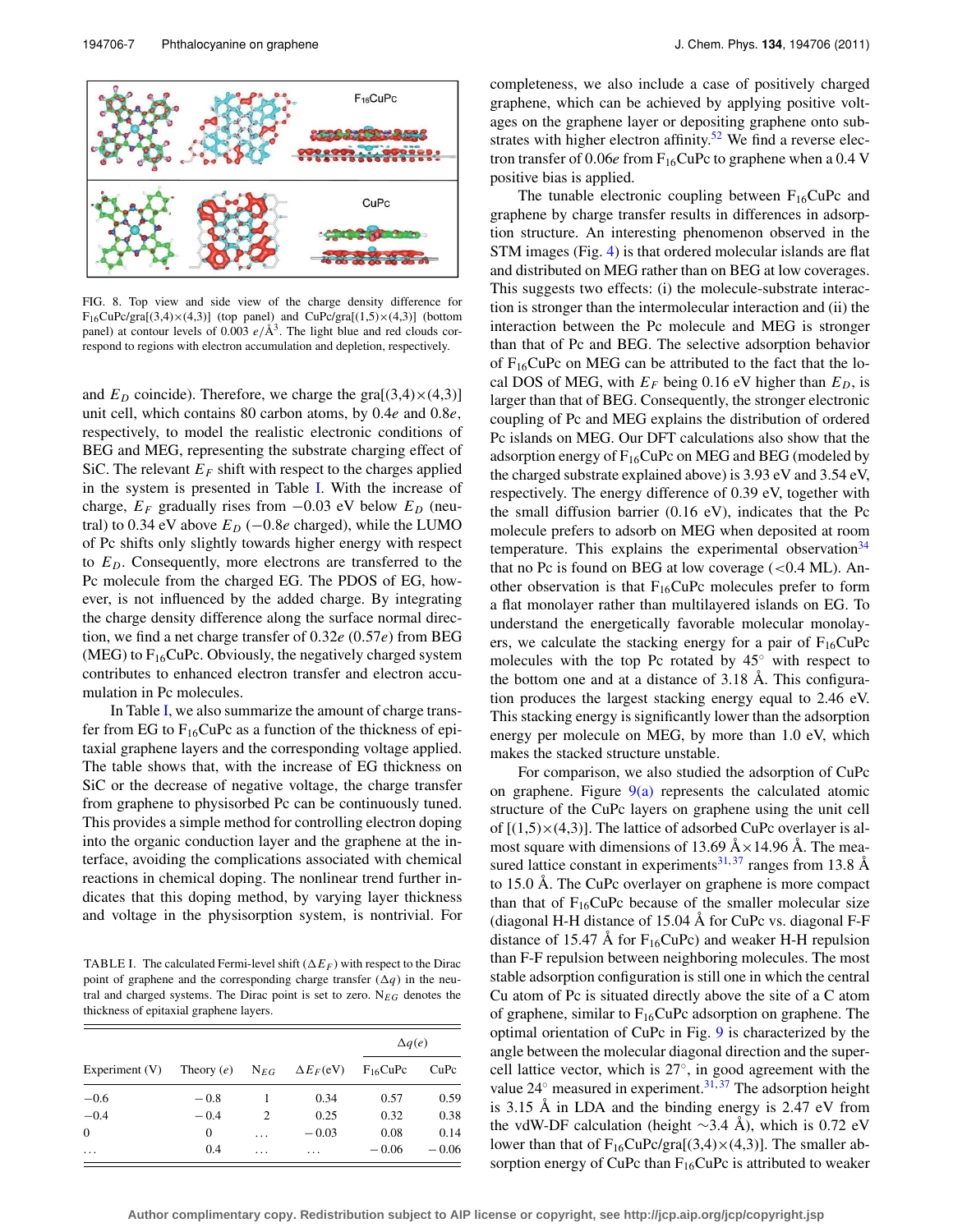<span id="page-6-0"></span>

FIG. 8. Top view and side view of the charge density difference for  $F_{16}CuPc/gra[(3,4)\times(4,3)]$  (top panel) and  $CuPc/gra[(1,5)\times(4,3)]$  (bottom panel) at contour levels of 0.003  $e/\text{\AA}^3$ . The light blue and red clouds correspond to regions with electron accumulation and depletion, respectively.

and  $E_D$  coincide). Therefore, we charge the gra $[(3,4)\times(4,3)]$ unit cell, which contains 80 carbon atoms, by 0.4*e* and 0.8*e*, respectively, to model the realistic electronic conditions of BEG and MEG, representing the substrate charging effect of SiC. The relevant  $E_F$  shift with respect to the charges applied in the system is presented in Table [I.](#page-6-1) With the increase of charge,  $E_F$  gradually rises from  $-0.03$  eV below  $E_D$  (neutral) to 0.34 eV above  $E_D$  ( $-0.8e$  charged), while the LUMO of Pc shifts only slightly towards higher energy with respect to *ED*. Consequently, more electrons are transferred to the Pc molecule from the charged EG. The PDOS of EG, however, is not influenced by the added charge. By integrating the charge density difference along the surface normal direction, we find a net charge transfer of 0.32*e* (0.57*e*) from BEG (MEG) to  $F_{16}CuPc$ . Obviously, the negatively charged system contributes to enhanced electron transfer and electron accumulation in Pc molecules.

In Table [I,](#page-6-1) we also summarize the amount of charge transfer from EG to  $F_{16}CuPc$  as a function of the thickness of epitaxial graphene layers and the corresponding voltage applied. The table shows that, with the increase of EG thickness on SiC or the decrease of negative voltage, the charge transfer from graphene to physisorbed Pc can be continuously tuned. This provides a simple method for controlling electron doping into the organic conduction layer and the graphene at the interface, avoiding the complications associated with chemical reactions in chemical doping. The nonlinear trend further indicates that this doping method, by varying layer thickness and voltage in the physisorption system, is nontrivial. For

<span id="page-6-1"></span>TABLE I. The calculated Fermi-level shift  $(\Delta E_F)$  with respect to the Dirac point of graphene and the corresponding charge transfer  $(\Delta q)$  in the neutral and charged systems. The Dirac point is set to zero. N*EG* denotes the thickness of epitaxial graphene layers.

|                  |                              |          |                                        | $\Delta q(e)$ |         |
|------------------|------------------------------|----------|----------------------------------------|---------------|---------|
| Experiment $(V)$ | Theory $(e)$ N <sub>EG</sub> |          | $\Delta E_F$ (eV) F <sub>16</sub> CuPc |               | CuPc    |
| $-0.6$           | $-0.8$                       |          | 0.34                                   | 0.57          | 0.59    |
| $-0.4$           | $-0.4$                       | 2        | 0.25                                   | 0.32          | 0.38    |
| $\Omega$         | $\Omega$                     | $\cdots$ | $-0.03$                                | 0.08          | 0.14    |
| $\cdots$         | 0.4                          | .        | $\cdots$                               | $-0.06$       | $-0.06$ |

completeness, we also include a case of positively charged graphene, which can be achieved by applying positive voltages on the graphene layer or depositing graphene onto sub-strates with higher electron affinity.<sup>[52](#page-9-43)</sup> We find a reverse electron transfer of  $0.06e$  from  $F_{16}$ CuPc to graphene when a  $0.4$  V positive bias is applied.

The tunable electronic coupling between  $F_{16}CuPc$  and graphene by charge transfer results in differences in adsorption structure. An interesting phenomenon observed in the STM images (Fig. [4\)](#page-3-2) is that ordered molecular islands are flat and distributed on MEG rather than on BEG at low coverages. This suggests two effects: (i) the molecule-substrate interaction is stronger than the intermolecular interaction and (ii) the interaction between the Pc molecule and MEG is stronger than that of Pc and BEG. The selective adsorption behavior of  $F_{16}$ CuPc on MEG can be attributed to the fact that the local DOS of MEG, with  $E_F$  being 0.16 eV higher than  $E_D$ , is larger than that of BEG. Consequently, the stronger electronic coupling of Pc and MEG explains the distribution of ordered Pc islands on MEG. Our DFT calculations also show that the adsorption energy of  $F_{16}CuPc$  on MEG and BEG (modeled by the charged substrate explained above) is 3.93 eV and 3.54 eV, respectively. The energy difference of 0.39 eV, together with the small diffusion barrier (0.16 eV), indicates that the Pc molecule prefers to adsorb on MEG when deposited at room temperature. This explains the experimental observation<sup>[34](#page-9-25)</sup> that no Pc is found on BEG at low coverage  $(<0.4$  ML). Another observation is that  $F_{16}CuPc$  molecules prefer to form a flat monolayer rather than multilayered islands on EG. To understand the energetically favorable molecular monolayers, we calculate the stacking energy for a pair of  $F_{16}CuPc$ molecules with the top Pc rotated by 45◦ with respect to the bottom one and at a distance of 3.18 Å. This configuration produces the largest stacking energy equal to 2.46 eV. This stacking energy is significantly lower than the adsorption energy per molecule on MEG, by more than 1.0 eV, which makes the stacked structure unstable.

For comparison, we also studied the adsorption of CuPc on graphene. Figure  $9(a)$  represents the calculated atomic structure of the CuPc layers on graphene using the unit cell of  $[(1,5)\times(4,3)]$ . The lattice of adsorbed CuPc overlayer is almost square with dimensions of 13.69  $A \times 14.96$  Å. The mea-sured lattice constant in experiments<sup>31,[37](#page-9-28)</sup> ranges from 13.8 Å to 15.0 Å. The CuPc overlayer on graphene is more compact than that of  $F_{16}CuPc$  because of the smaller molecular size (diagonal H-H distance of 15.04 Å for CuPc vs. diagonal F-F distance of 15.47 Å for  $F_{16}CuPc$ ) and weaker H-H repulsion than F-F repulsion between neighboring molecules. The most stable adsorption configuration is still one in which the central Cu atom of Pc is situated directly above the site of a C atom of graphene, similar to  $F_{16}$ CuPc adsorption on graphene. The optimal orientation of CuPc in Fig. [9](#page-7-0) is characterized by the angle between the molecular diagonal direction and the supercell lattice vector, which is 27◦, in good agreement with the value  $24^\circ$  measured in experiment.<sup>31,[37](#page-9-28)</sup> The adsorption height is 3.15 Å in LDA and the binding energy is 2.47 eV from the vdW-DF calculation (height ∼3.4 Å), which is 0.72 eV lower than that of  $F_{16}CuPc/gra[(3,4)\times(4,3)]$ . The smaller absorption energy of CuPc than  $F_{16}$ CuPc is attributed to weaker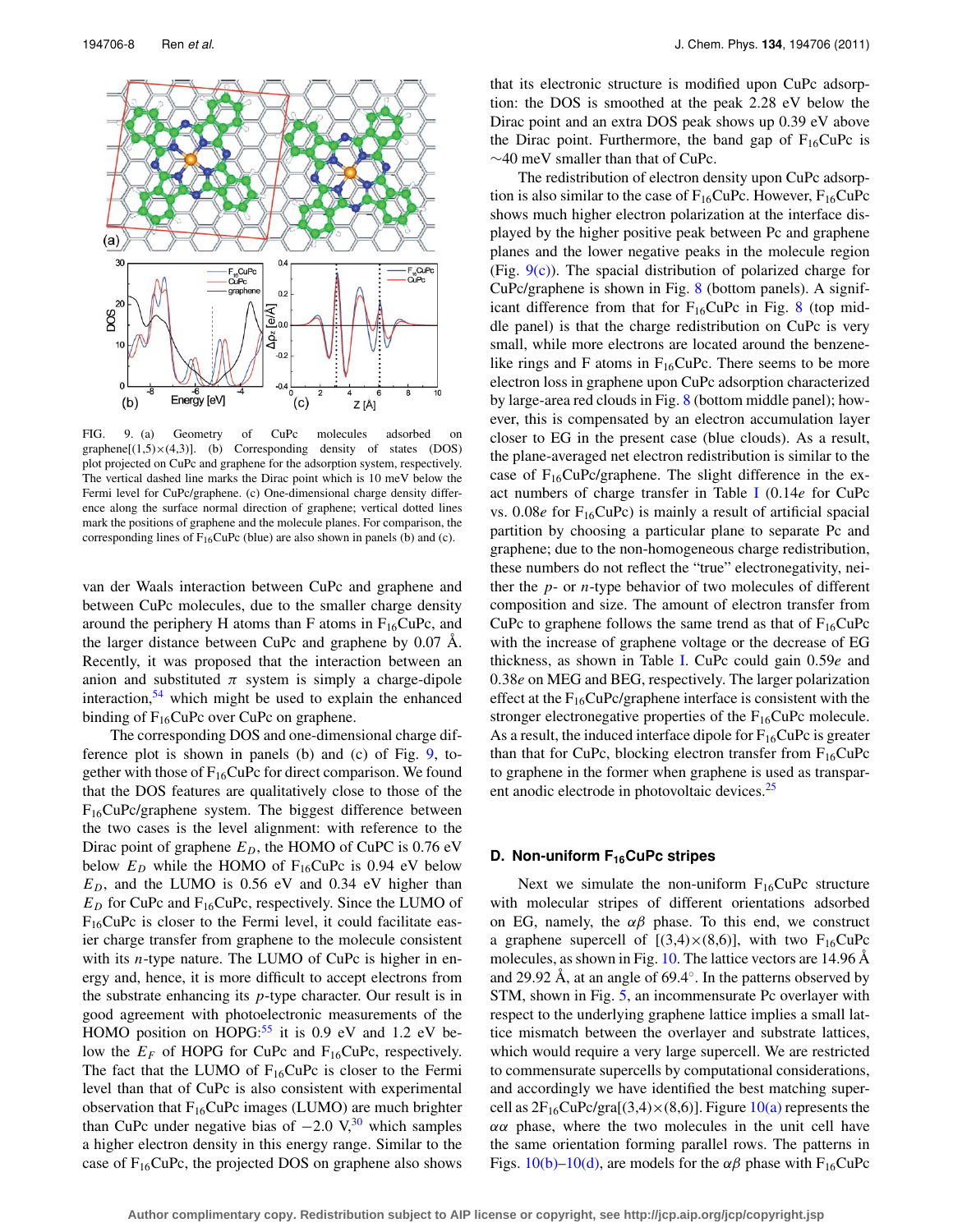<span id="page-7-0"></span>

FIG. 9. (a) Geometry of CuPc molecules adsorbed on graphene $[(1,5)\times(4,3)]$ . (b) Corresponding density of states (DOS) plot projected on CuPc and graphene for the adsorption system, respectively. The vertical dashed line marks the Dirac point which is 10 meV below the Fermi level for CuPc/graphene. (c) One-dimensional charge density difference along the surface normal direction of graphene; vertical dotted lines mark the positions of graphene and the molecule planes. For comparison, the corresponding lines of  $F_{16}CuPc$  (blue) are also shown in panels (b) and (c).

van der Waals interaction between CuPc and graphene and between CuPc molecules, due to the smaller charge density around the periphery H atoms than F atoms in  $F_{16}CuPc$ , and the larger distance between CuPc and graphene by 0.07 Å. Recently, it was proposed that the interaction between an anion and substituted  $\pi$  system is simply a charge-dipole interaction,  $54$  which might be used to explain the enhanced binding of  $F_{16}$ CuPc over CuPc on graphene.

The corresponding DOS and one-dimensional charge difference plot is shown in panels (b) and (c) of Fig. [9,](#page-7-0) together with those of  $F_{16}CuPc$  for direct comparison. We found that the DOS features are qualitatively close to those of the F16CuPc/graphene system. The biggest difference between the two cases is the level alignment: with reference to the Dirac point of graphene  $E_D$ , the HOMO of CuPC is 0.76 eV below  $E_D$  while the HOMO of  $F_{16}$ CuPc is 0.94 eV below  $E_D$ , and the LUMO is 0.56 eV and 0.34 eV higher than  $E_D$  for CuPc and  $F_{16}$ CuPc, respectively. Since the LUMO of  $F_{16}$ CuPc is closer to the Fermi level, it could facilitate easier charge transfer from graphene to the molecule consistent with its *n*-type nature. The LUMO of CuPc is higher in energy and, hence, it is more difficult to accept electrons from the substrate enhancing its *p*-type character. Our result is in good agreement with photoelectronic measurements of the HOMO position on HOPG: $55$  it is 0.9 eV and 1.2 eV below the  $E_F$  of HOPG for CuPc and F<sub>16</sub>CuPc, respectively. The fact that the LUMO of  $F_{16}CuPc$  is closer to the Fermi level than that of CuPc is also consistent with experimental observation that  $F_{16}CuPc$  images (LUMO) are much brighter than CuPc under negative bias of  $-2.0 \text{ V}$ ,<sup>[30](#page-9-21)</sup> which samples a higher electron density in this energy range. Similar to the case of  $F_{16}CuPc$ , the projected DOS on graphene also shows that its electronic structure is modified upon CuPc adsorption: the DOS is smoothed at the peak 2.28 eV below the Dirac point and an extra DOS peak shows up 0.39 eV above the Dirac point. Furthermore, the band gap of  $F_{16}CuPc$  is ∼40 meV smaller than that of CuPc.

The redistribution of electron density upon CuPc adsorption is also similar to the case of  $F_{16}CuPc$ . However,  $F_{16}CuPc$ shows much higher electron polarization at the interface displayed by the higher positive peak between Pc and graphene planes and the lower negative peaks in the molecule region (Fig.  $9(c)$ ). The spacial distribution of polarized charge for CuPc/graphene is shown in Fig. [8](#page-6-0) (bottom panels). A significant difference from that for  $F_{16}CuPc$  in Fig. [8](#page-6-0) (top middle panel) is that the charge redistribution on CuPc is very small, while more electrons are located around the benzenelike rings and F atoms in  $F_{16}CuPc$ . There seems to be more electron loss in graphene upon CuPc adsorption characterized by large-area red clouds in Fig. [8](#page-6-0) (bottom middle panel); however, this is compensated by an electron accumulation layer closer to EG in the present case (blue clouds). As a result, the plane-averaged net electron redistribution is similar to the case of  $F_{16}CuPc/graphene$ . The slight difference in the exact numbers of charge transfer in Table [I](#page-6-1) (0.14*e* for CuPc vs.  $0.08e$  for  $F_{16}CuPc$ ) is mainly a result of artificial spacial partition by choosing a particular plane to separate Pc and graphene; due to the non-homogeneous charge redistribution, these numbers do not reflect the "true" electronegativity, neither the *p*- or *n*-type behavior of two molecules of different composition and size. The amount of electron transfer from CuPc to graphene follows the same trend as that of  $F_{16}CuPc$ with the increase of graphene voltage or the decrease of EG thickness, as shown in Table [I.](#page-6-1) CuPc could gain 0.59*e* and 0.38*e* on MEG and BEG, respectively. The larger polarization effect at the  $F_{16}CuPc/graphene$  interface is consistent with the stronger electronegative properties of the  $F_{16}CuPc$  molecule. As a result, the induced interface dipole for  $F_{16}CuPc$  is greater than that for CuPc, blocking electron transfer from  $F_{16}CuPc$ to graphene in the former when graphene is used as transpar-ent anodic electrode in photovoltaic devices.<sup>[25](#page-9-17)</sup>

## **D. Non-uniform F<sub>16</sub>CuPc stripes**

Next we simulate the non-uniform  $F_{16}CuPc$  structure with molecular stripes of different orientations adsorbed on EG, namely, the  $\alpha\beta$  phase. To this end, we construct a graphene supercell of  $[(3,4)\times(8,6)]$ , with two F<sub>16</sub>CuPc molecules, as shown in Fig. [10.](#page-8-0) The lattice vectors are 14.96 Å and 29.92 Å, at an angle of 69.4◦. In the patterns observed by STM, shown in Fig. [5,](#page-4-0) an incommensurate Pc overlayer with respect to the underlying graphene lattice implies a small lattice mismatch between the overlayer and substrate lattices, which would require a very large supercell. We are restricted to commensurate supercells by computational considerations, and accordingly we have identified the best matching supercell as  $2F_{16}CuPc/gra[(3,4)\times(8,6)]$ . Figure  $10(a)$  represents the  $\alpha\alpha$  phase, where the two molecules in the unit cell have the same orientation forming parallel rows. The patterns in Figs.  $10(b)-10(d)$ , are models for the  $\alpha\beta$  phase with F<sub>16</sub>CuPc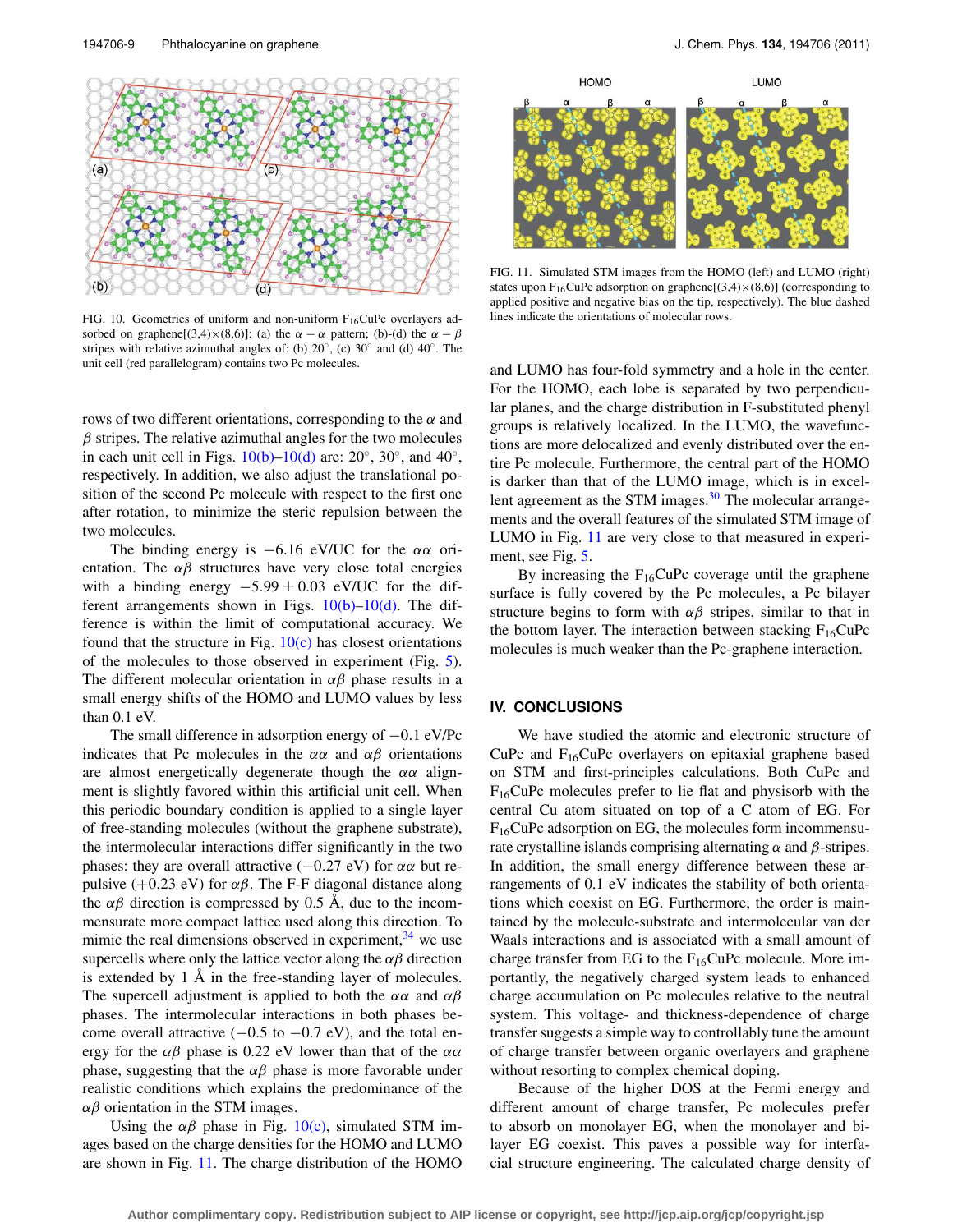<span id="page-8-0"></span>

FIG. 10. Geometries of uniform and non-uniform  $F_{16}CuPc$  overlayers adsorbed on graphene[(3,4)×(8,6)]: (a) the  $\alpha - \alpha$  pattern; (b)-(d) the  $\alpha - \beta$ stripes with relative azimuthal angles of: (b)  $20°$ , (c)  $30°$  and (d)  $40°$ . The unit cell (red parallelogram) contains two Pc molecules.

rows of two different orientations, corresponding to the  $\alpha$  and  $\beta$  stripes. The relative azimuthal angles for the two molecules in each unit cell in Figs.  $10(b)$ – $10(d)$  are:  $20°$ ,  $30°$ , and  $40°$ , respectively. In addition, we also adjust the translational position of the second Pc molecule with respect to the first one after rotation, to minimize the steric repulsion between the two molecules.

The binding energy is  $-6.16$  eV/UC for the  $\alpha\alpha$  orientation. The  $\alpha\beta$  structures have very close total energies with a binding energy  $-5.99 \pm 0.03$  eV/UC for the different arrangements shown in Figs.  $10(b)-10(d)$ . The difference is within the limit of computational accuracy. We found that the structure in Fig.  $10(c)$  has closest orientations of the molecules to those observed in experiment (Fig. [5\)](#page-4-0). The different molecular orientation in  $\alpha\beta$  phase results in a small energy shifts of the HOMO and LUMO values by less than 0.1 eV.

The small difference in adsorption energy of −0.1 eV/Pc indicates that Pc molecules in the  $\alpha\alpha$  and  $\alpha\beta$  orientations are almost energetically degenerate though the  $\alpha\alpha$  alignment is slightly favored within this artificial unit cell. When this periodic boundary condition is applied to a single layer of free-standing molecules (without the graphene substrate), the intermolecular interactions differ significantly in the two phases: they are overall attractive  $(-0.27 \text{ eV})$  for  $\alpha \alpha$  but repulsive (+0.23 eV) for  $\alpha\beta$ . The F-F diagonal distance along the  $\alpha\beta$  direction is compressed by 0.5 Å, due to the incommensurate more compact lattice used along this direction. To mimic the real dimensions observed in experiment,  $34$  we use supercells where only the lattice vector along the  $\alpha\beta$  direction is extended by 1 Å in the free-standing layer of molecules. The supercell adjustment is applied to both the  $\alpha\alpha$  and  $\alpha\beta$ phases. The intermolecular interactions in both phases become overall attractive  $(-0.5 \text{ to } -0.7 \text{ eV})$ , and the total energy for the  $\alpha\beta$  phase is 0.22 eV lower than that of the  $\alpha\alpha$ phase, suggesting that the  $\alpha\beta$  phase is more favorable under realistic conditions which explains the predominance of the  $\alpha$ β orientation in the STM images.

Using the  $\alpha\beta$  phase in Fig. [10\(c\),](#page-8-0) simulated STM images based on the charge densities for the HOMO and LUMO are shown in Fig. [11.](#page-8-1) The charge distribution of the HOMO

<span id="page-8-1"></span>

FIG. 11. Simulated STM images from the HOMO (left) and LUMO (right) states upon F<sub>16</sub>CuPc adsorption on graphene[ $(3,4)\times(8,6)$ ] (corresponding to applied positive and negative bias on the tip, respectively). The blue dashed lines indicate the orientations of molecular rows.

and LUMO has four-fold symmetry and a hole in the center. For the HOMO, each lobe is separated by two perpendicular planes, and the charge distribution in F-substituted phenyl groups is relatively localized. In the LUMO, the wavefunctions are more delocalized and evenly distributed over the entire Pc molecule. Furthermore, the central part of the HOMO is darker than that of the LUMO image, which is in excellent agreement as the STM images.<sup>30</sup> The molecular arrangements and the overall features of the simulated STM image of LUMO in Fig. [11](#page-8-1) are very close to that measured in experiment, see Fig. [5.](#page-4-0)

By increasing the  $F_{16}CuPc$  coverage until the graphene surface is fully covered by the Pc molecules, a Pc bilayer structure begins to form with  $\alpha\beta$  stripes, similar to that in the bottom layer. The interaction between stacking  $F_{16}CuPc$ molecules is much weaker than the Pc-graphene interaction.

## **IV. CONCLUSIONS**

We have studied the atomic and electronic structure of CuPc and  $F_{16}$ CuPc overlayers on epitaxial graphene based on STM and first-principles calculations. Both CuPc and  $F_{16}$ CuPc molecules prefer to lie flat and physisorb with the central Cu atom situated on top of a C atom of EG. For  $F_{16}$ CuPc adsorption on EG, the molecules form incommensurate crystalline islands comprising alternating  $\alpha$  and  $\beta$ -stripes. In addition, the small energy difference between these arrangements of 0.1 eV indicates the stability of both orientations which coexist on EG. Furthermore, the order is maintained by the molecule-substrate and intermolecular van der Waals interactions and is associated with a small amount of charge transfer from EG to the  $F_{16}CuPc$  molecule. More importantly, the negatively charged system leads to enhanced charge accumulation on Pc molecules relative to the neutral system. This voltage- and thickness-dependence of charge transfer suggests a simple way to controllably tune the amount of charge transfer between organic overlayers and graphene without resorting to complex chemical doping.

Because of the higher DOS at the Fermi energy and different amount of charge transfer, Pc molecules prefer to absorb on monolayer EG, when the monolayer and bilayer EG coexist. This paves a possible way for interfacial structure engineering. The calculated charge density of